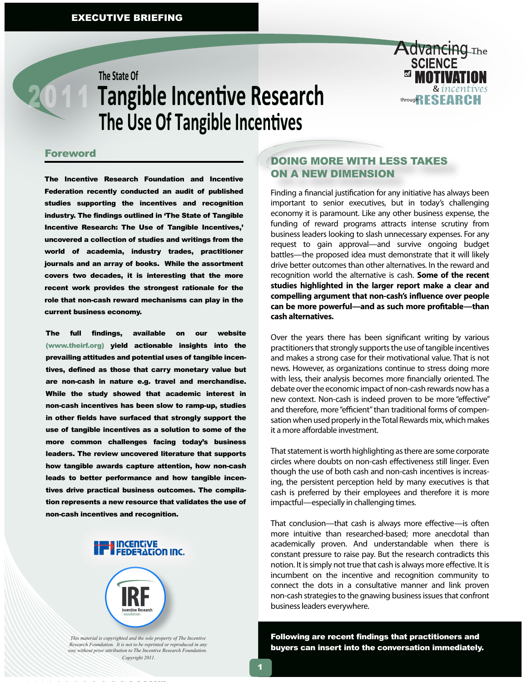# The State Of **Tangible Incentive Research** The Use Of Tangible Incentives



#### **Foreword**

The Incentive Research Foundation and Incentive Federation recently conducted an audit of published studies supporting the incentives and recognition industry. The findings outlined in 'The State of Tangible Incentive Research: The Use of Tangible Incentives,' uncovered a collection of studies and writings from the world of academia, industry trades, practitioner journals and an array of books. While the assortment covers two decades, it is interesting that the more recent work provides the strongest rationale for the role that non-cash reward mechanisms can play in the current business economy.

The full findings, available on our website (www.theirf.org) yield actionable insights into the prevailing attitudes and potential uses of tangible incentives, defined as those that carry monetary value but are non-cash in nature e.g. travel and merchandise. While the study showed that academic interest in non-cash incentives has been slow to ramp-up, studies in other fields have surfaced that strongly support the use of tangible incentives as a solution to some of the more common challenges facing today's business leaders. The review uncovered literature that supports how tangible awards capture attention, how non-cash leads to better performance and how tangible incentives drive practical business outcomes. The compilation represents a new resource that validates the use of non-cash incentives and recognition.





*This material is copyrighted and the sole property of The Incentive Research Foundation. It is not to be reprinted or reproduced in any way without prior attribution to The Incentive Research Foundation. Copyright 2011.*

# DOING MORE WITH LESS TAKES ON A NEW DIMENSION

Finding a financial justification for any initiative has always been important to senior executives, but in today's challenging economy it is paramount. Like any other business expense, the funding of reward programs attracts intense scrutiny from business leaders looking to slash unnecessary expenses. For any request to gain approval—and survive ongoing budget battles—the proposed idea must demonstrate that it will likely drive better outcomes than other alternatives. In the reward and recognition world the alternative is cash. **Some of the recent studies highlighted in the larger report make a clear and**  compelling argument that non-cash's influence over people can be more powerful—and as such more profitable—than **cash alternatives.** 

Over the years there has been significant writing by various practitioners that strongly supports the use of tangible incentives and makes a strong case for their motivational value. That is not news. However, as organizations continue to stress doing more with less, their analysis becomes more financially oriented. The debate over the economic impact of non-cash rewards now has a new context. Non-cash is indeed proven to be more "effective" and therefore, more "efficient" than traditional forms of compensation when used properly in the Total Rewards mix, which makes it a more affordable investment.

That statement is worth highlighting as there are some corporate circles where doubts on non-cash effectiveness still linger. Even though the use of both cash and non-cash incentives is increasing, the persistent perception held by many executives is that cash is preferred by their employees and therefore it is more impactful—especially in challenging times.

That conclusion—that cash is always more effective—is often more intuitive than researched-based; more anecdotal than academically proven. And understandable when there is constant pressure to raise pay. But the research contradicts this notion. It is simply not true that cash is always more effective. It is incumbent on the incentive and recognition community to connect the dots in a consultative manner and link proven non-cash strategies to the gnawing business issues that confront business leaders everywhere.

Following are recent findings that practitioners and buyers can insert into the conversation immediately.